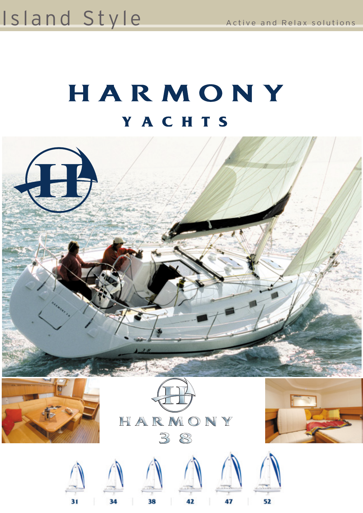## Island Style Active and Relax solutions

# HARMONY YACHTS